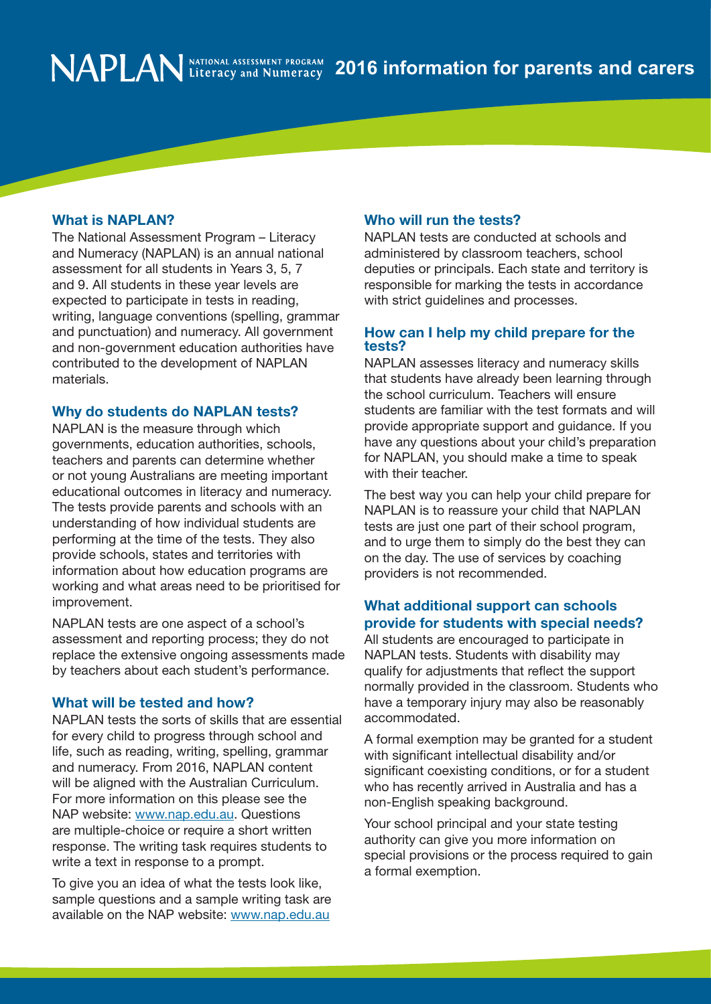### What is NAPLAN?

The National Assessment Program – Literacy and Numeracy (NAPLAN) is an annual national assessment for all students in Years 3, 5, 7 and 9. All students in these year levels are expected to participate in tests in reading, writing, language conventions (spelling, grammar and punctuation) and numeracy. All government and non-government education authorities have contributed to the development of NAPLAN materials.

### Why do students do NAPLAN tests?

NAPLAN is the measure through which governments, education authorities, schools, teachers and parents can determine whether or not young Australians are meeting important educational outcomes in literacy and numeracy. The tests provide parents and schools with an understanding of how individual students are performing at the time of the tests. They also provide schools, states and territories with information about how education programs are working and what areas need to be prioritised for improvement.

NAPLAN tests are one aspect of a school's assessment and reporting process; they do not replace the extensive ongoing assessments made by teachers about each student's performance.

#### What will be tested and how?

NAPLAN tests the sorts of skills that are essential for every child to progress through school and life, such as reading, writing, spelling, grammar and numeracy. From 2016, NAPLAN content will be aligned with the Australian Curriculum. For more information on this please see the NAP website: www.nap.edu.au. Questions are multiple-choice or require a short written response. The writing task requires students to write a text in response to a prompt.

To give you an idea of what the tests look like, sample questions and a sample writing task are available on the NAP website: www.nap.edu.au

#### Who will run the tests?

NAPLAN tests are conducted at schools and administered by classroom teachers, school deputies or principals. Each state and territory is responsible for marking the tests in accordance with strict guidelines and processes.

### How can I help my child prepare for the tests?

NAPLAN assesses literacy and numeracy skills that students have already been learning through the school curriculum. Teachers will ensure students are familiar with the test formats and will provide appropriate support and guidance. If you have any questions about your child's preparation for NAPLAN, you should make a time to speak with their teacher.

The best way you can help your child prepare for NAPLAN is to reassure your child that NAPLAN tests are just one part of their school program, and to urge them to simply do the best they can on the day. The use of services by coaching providers is not recommended.

# What additional support can schools provide for students with special needs?

All students are encouraged to participate in NAPLAN tests. Students with disability may qualify for adjustments that reflect the support normally provided in the classroom. Students who have a temporary injury may also be reasonably accommodated.

A formal exemption may be granted for a student with significant intellectual disability and/or significant coexisting conditions, or for a student who has recently arrived in Australia and has a non-English speaking background.

Your school principal and your state testing authority can give you more information on special provisions or the process required to gain a formal exemption.